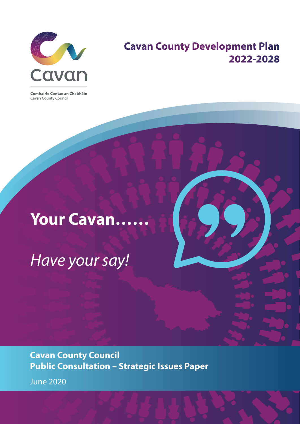

### **Cavan County Development Plan 2022-2028**

Comhairle Contae an Chabháin Cavan County Council

# **Your Cavan……**

*Have your say!*

**Cavan County Council Public Consultation – Strategic Issues Paper** June 2020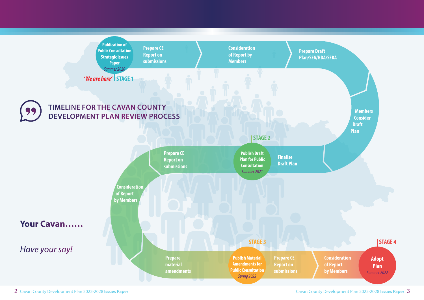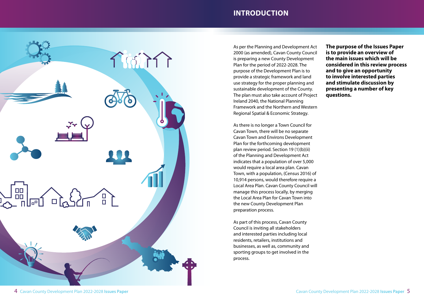### **INTRODUCTION**



As per the Planning and Development Act 2000 (as amended), Cavan County Council is preparing a new County Development Plan for the period of 2022-2028. The purpose of the Development Plan is to provide a strategic framework and land use strategy for the proper planning and sustainable development of the County. The plan must also take account of Project Ireland 2040, the National Planning Framework and the Northern and Western Regional Spatial & Economic Strategy.

As there is no longer a Town Council for Cavan Town, there will be no separate Cavan Town and Environs Development Plan for the forthcoming development plan review period. Section 19 (1)(b)(ii) of the Planning and Development Act indicates that a population of over 5,000 would require a local area plan. Cavan Town, with a population, (Census 2016) of 10,914 persons, would therefore require a Local Area Plan. Cavan County Council will manage this process locally, by merging the Local Area Plan for Cavan Town into the new County Development Plan preparation process.

As part of this process, Cavan County Council is inviting all stakeholders and interested parties including local residents, retailers, institutions and businesses, as well as, community and sporting groups to get involved in the process.

**The purpose of the Issues Paper is to provide an overview of the main issues which will be considered in this review process and to give an opportunity to involve interested parties and stimulate discussion by presenting a number of key questions.**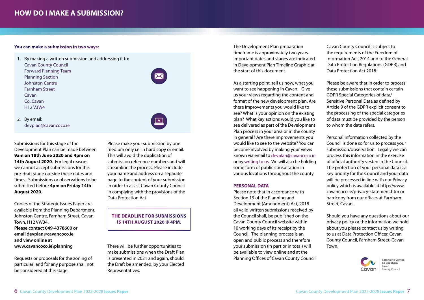#### **You can make a submission in two ways:**

1. By making a written submission and addressing it to: Cavan County Council Forward Planning Team Planning Section Johnston Centre Farnham Street Cavan Co. Cavan H12 V3W4 2. By email: devplan@cavancoco.ie

Submissions for this stage of the Development Plan can be made between **9am on 18th June 2020 and 4pm on 14th August 2020**. For legal reasons we cannot accept submissions for this pre-draft stage outside these dates and times. Submissions or observations to be submitted before **4pm on Friday 14th August 2020**.

Copies of the Strategic Issues Paper are available from the Planning Department, Johnston Centre, Farnham Street, Cavan Town, H12 VW34. **Please contact 049-4378600 or email devplan@cavancoco.ie and view online at www.cavancoco.ie\planning**

Requests or proposals for the zoning of particular land for any purpose shall not be considered at this stage.

Please make your submission by one medium only i.e. in hard copy or email. This will avoid the duplication of submission reference numbers and will streamline the process. Please include your name and address on a separate page to the content of your submission in order to assist Cavan County Council in complying with the provisions of the Data Protection Act.

### **THE DEADLINE FOR SUBMISSIONS IS 14TH AUGUST 2020 @ 4PM.**

There will be further opportunities to make submissions when the Draft Plan is presented in 2021 and again, should the Draft be amended, by your Elected Representatives.

The Development Plan preparation timeframe is approximately two years. Important dates and stages are indicated in Development Plan Timeline Graphic at the start of this document.

As a starting point, tell us now, what you want to see happening in Cavan. Give us your views regarding the content and format of the new development plan. Are there improvements you would like to see? What is your opinion on the existing plan? What key actions would you like to see delivered as part of the Development Plan process in your area or in the county in general? Are there improvements you would like to see to the website? You can become involved by making your views known via email to devplan@cavancoco.ie or by writing to us. We will also be holding some form of public consultation in various locations throughout the county.

#### **PERSONAL DATA**

Please note that in accordance with Section 19 of the Planning and Development (Amendment) Act, 2018 all valid written submissions received by the Council shall, be published on the Cavan County Council website within 10 working days of its receipt by the Council. The planning process is an open and public process and therefore your submission (in part or in total) will be available to view online and at the Planning Offices of Cavan County Council.

Cavan County Council is subject to the requirements of the Freedom of Information Act, 2014 and to the General Data Protection Regulations (GDPR) and Data Protection Act 2018.

Please be aware that in order to process these submissions that contain certain GDPR Special Categories of data/ Sensitive Personal Data as defined by Article 9 of the GDPR explicit consent to the processing of the special categories of data must be provided by the person to whom the data refers.

Personal information collected by the Council is done so for us to process your submission/observation. Legally we can process this information in the exercise of official authority vested in the Council. The protection of your personal data is a key priority for the Council and your data will be processed in line with our Privacy policy which is available at http://www. cavancoco.ie/privacy-statement.htm or hardcopy from our offices at Farnham Street, Cavan.

Should you have any questions about our privacy policy or the information we hold about you please contact us by writing to us at Data Protection Officer, Cavan County Council, Farnham Street, Cavan Town.

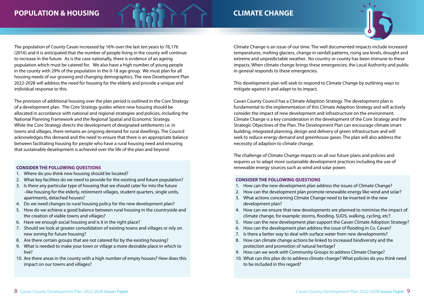### **POPULATION & HOUSING**



### **CLIMATE CHANGE**



The population of County Cavan increased by 16% over the last ten years to 76,176 (2016) and it is anticipated that the number of people living in the county will continue to increase in the future. As is the case nationally, there is evidence of an ageing population which must be catered for. We also have a high number of young people in the county with 29% of the population in the 0-18 age group. We must plan for all housing needs of our growing and changing demographics. The new Development Plan 2022-2028 will address the need for housing for the elderly and provide a unique and individual response to this.

The provision of additional housing over the plan period is outlined in the Core Strategy of a development plan. The Core Strategy guides where new housing should be allocated in accordance with national and regional strategies and policies, including the National Planning Framework and the Regional Spatial and Economic Strategy. While the Core Strategy directs the development of designated settlements i.e. in towns and villages, there remains an ongoing demand for rural dwellings. The Council acknowledges this demand and the need to ensure that there is an appropriate balance between facilitating housing for people who have a rural housing need and ensuring that sustainable development is achieved over the life of the plan and beyond.

#### **CONSIDER THE FOLLOWING QUESTIONS**

- 1. Where do you think new housing should be located?
- 2. What key facilities do we need to provide for the existing and future population?
- 3. Is there any particular type of housing that we should cater for into the future
- –like housing for the elderly, retirement villages, student quarters, single units, apartments, detached houses?
- 4. Do we need changes to rural housing policy for the new development plan?
- 5. How do we achieve a good balance between rural housing in the countryside and the creation of viable towns and villages?
- 6. Have we enough social housing and is it in the right place?
- 7. Should we look at greater consolidation of existing towns and villages or rely on new zoning for future housing?
- 8. Are there certain groups that are not catered for by the existing housing?
- 9. What is needed to make your town or village a more desirable place in which to live?
- 10. Are there areas in the county with a high number of empty houses? How does this impact on our towns and villages?

Climate Change is an issue of our time. The well documented impacts include increased temperatures, melting glaciers, change in rainfall patterns, rising sea levels, drought and extreme and unpredictable weather. No country or county has been immune to these impacts. When climate change brings these emergencies, the Local Authority and public in general responds to these emergencies.

This development plan will seek to respond to Climate Change by outlining ways to mitigate against it and adapt to its impact.

Cavan County Council has a Climate Adaption Strategy. The development plan is fundamental to the implementation of this Climate Adaption Strategy and will actively consider the impact of new development and infrastructure on the environment. Climate Change is a key consideration in the development of the Core Strategy and the Strategic Objectives of the Plan. The Development Plan can encourage climate smart building, integrated planning, design and delivery of green infrastructure and will seek to reduce energy demand and greenhouse gases. The plan will also address the necessity of adaption to climate change.

The challenge of Climate Change impacts on all our future plans and policies and requires us to adapt more sustainable development practices including the use of renewable energy sources such as wind and solar power.

- 1. How can the new development plan address the issues of Climate Change?
- 2. How can the development plan promote renewable energy like wind and solar?
- 3. What actions concerning Climate Change need to be inserted in the new development plan?
- 4. How can we ensure that new developments are planned to minimise the impact of climate change, for example: storms, flooding, SUDS, walking, cycling, etc?
- 5. How can the new development plan support the Cavan Climate Adoption Strategy?
- 6. How can the development plan address the issue of flooding in Co. Cavan?
- 7. Is there a better way to deal with surface water from new developments?
- 8. How can climate change actions be linked to increased biodiversity and the protection and promotion of natural heritage?
- 9. How can we work with Community Groups to address Climate Change?
- 10. What can this plan do to address climate change? What policies do you think need to be included in this regard?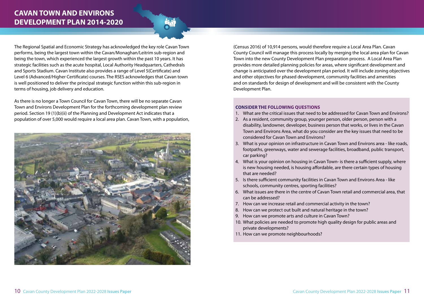### **CAVAN TOWN AND ENVIRONS DEVELOPMENT PLAN 2014-2020**

The Regional Spatial and Economic Strategy has acknowledged the key role Cavan Town performs, being the largest town within the Cavan/Monaghan/Leitrim sub-region and being the town, which experienced the largest growth within the past 10 years. It has strategic facilities such as the acute hospital, Local Authority Headquarters, Cathedrals and Sports Stadium. Cavan Institute also provides a range of Level 5(Certificate) and Level 6 (Advanced/Higher Certificate) courses. The RSES acknowledges that Cavan town is well positioned to deliver the principal strategic function within this sub-region in terms of housing, job delivery and education.

As there is no longer a Town Council for Cavan Town, there will be no separate Cavan Town and Environs Development Plan for the forthcoming development plan review period. Section 19 (1)(b)(ii) of the Planning and Development Act indicates that a population of over 5,000 would require a local area plan. Cavan Town, with a population,



(Census 2016) of 10,914 persons, would therefore require a Local Area Plan. Cavan County Council will manage this process locally by merging the local area plan for Cavan Town into the new County Development Plan preparation process. A Local Area Plan provides more detailed planning policies for areas, where significant development and change is anticipated over the development plan period. It will include zoning objectives and other objectives for phased development, community facilities and amenities and on standards for design of development and will be consistent with the County Development Plan.

- 1. What are the critical issues that need to be addressed for Cavan Town and Environs?
- 2. As a resident, community group, younger person, older person, person with a disability, landowner, developer, business person that works, or lives in the Cavan Town and Environs Area, what do you consider are the key issues that need to be considered for Cavan Town and Environs?
- 3. What is your opinion on infrastructure in Cavan Town and Environs area like roads, footpaths, greenways, water and sewerage facilities, broadband, public transport, car parking?
- 4. What is your opinion on housing in Cavan Town- is there a sufficient supply, where is new housing needed, is housing affordable, are there certain types of housing that are needed?
- 5. Is there sufficient community facilities in Cavan Town and Environs Area like schools, community centres, sporting facilities?
- 6. What issues are there in the centre of Cavan Town retail and commercial area, that can be addressed?
- 7. How can we increase retail and commercial activity in the town?
- 8. How can we protect out built and natural heritage in the town?
- 9. How can we promote arts and culture in Cavan Town?
- 10. What policies are needed to promote high quality design for public areas and private developments?
- 11. How can we promote neighbourhoods?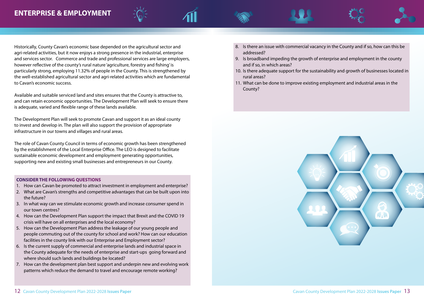### **ENTERPRISE & EMPLOYMENT**



Historically, County Cavan's economic base depended on the agricultural sector and agri-related activities, but it now enjoys a strong presence in the industrial, enterprise and services sector. Commerce and trade and professional services are large employers, however reflective of the county's rural nature 'agriculture, forestry and fishing' is particularly strong, employing 11.32% of people in the County. This is strengthened by the well-established agricultural sector and agri-related activities which are fundamental to Cavan's economic success.

Available and suitable serviced land and sites ensures that the County is attractive to, and can retain economic opportunities. The Development Plan will seek to ensure there is adequate, varied and flexible range of these lands available.

The Development Plan will seek to promote Cavan and support it as an ideal county to invest and develop in. The plan will also support the provision of appropriate infrastructure in our towns and villages and rural areas.

The role of Cavan County Council in terms of economic growth has been strengthened by the establishment of the Local Enterprise Office. The LEO is designed to facilitate sustainable economic development and employment generating opportunities, supporting new and existing small businesses and entrepreneurs in our County.

### **CONSIDER THE FOLLOWING QUESTIONS**

l

- 1. How can Cavan be promoted to attract investment in employment and enterprise?
- 2. What are Cavan's strengths and competitive advantages that can be built upon into the future?
- 3. In what way can we stimulate economic growth and increase consumer spend in our town centres?
- 4. How can the Development Plan support the impact that Brexit and the COVID 19 crisis will have on all enterprises and the local economy?
- 5. How can the Development Plan address the leakage of our young people and people commuting out of the county for school and work? How can our education facilities in the county link with our Enterprise and Employment sector?
- 6. Is the current supply of commercial and enterprise lands and industrial space in the County adequate for the needs of enterprise and start-ups going forward and where should such lands and buildings be located?
- 7. How can the development plan best support and underpin new and evolving work patterns which reduce the demand to travel and encourage remote working?
- 8. Is there an issue with commercial vacancy in the County and if so, how can this be addressed?
- 9. Is broadband impeding the growth of enterprise and employment in the county and if so, in which areas?
- 10. Is there adequate support for the sustainability and growth of businesses located in rural areas?
- 11. What can be done to improve existing employment and industrial areas in the County?

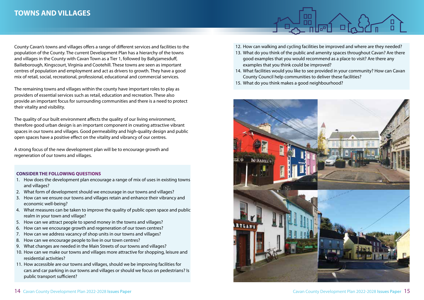### **TOWNS AND VILLAGES**

County Cavan's towns and villages offers a range of different services and facilities to the population of the County. The current Development Plan has a hierarchy of the towns and villages in the County with Cavan Town as a Tier 1, followed by Ballyjamesduff, Bailieborough, Kingscourt, Virginia and Cootehill. These towns are seen as important centres of population and employment and act as drivers to growth. They have a good mix of retail, social, recreational, professional, educational and commercial services.

The remaining towns and villages within the county have important roles to play as providers of essential services such as retail, education and recreation. These also provide an important focus for surrounding communities and there is a need to protect their vitality and visibility.

The quality of our built environment affects the quality of our living environment, therefore good urban design is an important component in creating attractive vibrant spaces in our towns and villages. Good permeability and high-quality design and public open spaces have a positive effect on the vitality and vibrancy of our centres.

A strong focus of the new development plan will be to encourage growth and regeneration of our towns and villages.

- 1. How does the development plan encourage a range of mix of uses in existing towns and villages?
- 2. What form of development should we encourage in our towns and villages?
- 3. How can we ensure our towns and villages retain and enhance their vibrancy and economic well-being?
- 4. What measures can be taken to improve the quality of public open space and public realm in your town and village?
- 5. How can we attract people to spend money in the towns and villages?
- 6. How can we encourage growth and regeneration of our town centres?
- 7. How can we address vacancy of shop units in our towns and villages?
- 8. How can we encourage people to live in our town centres?
- 9. What changes are needed in the Main Streets of our towns and villages?
- 10. How can we make our towns and villages more attractive for shopping, leisure and residential activities?
- 11. How accessible are our towns and villages, should we be improving facilities for cars and car parking in our towns and villages or should we focus on pedestrians? Is public transport sufficient?
- 12. How can walking and cycling facilities be improved and where are they needed?
- 13. What do you think of the public and amenity spaces throughout Cavan? Are there good examples that you would recommend as a place to visit? Are there any examples that you think could be improved?
- 14. What facilities would you like to see provided in your community? How can Cavan County Council help communities to deliver these facilities?
- 15. What do you think makes a good neighbourhood?

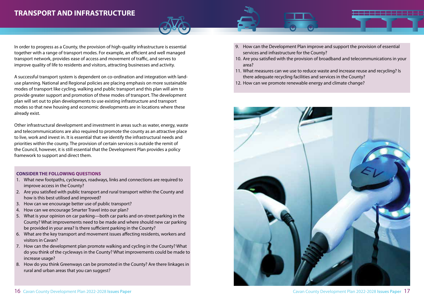### **TRANSPORT AND INFRASTRUCTURE**

In order to progress as a County, the provision of high-quality infrastructure is essential together with a range of transport modes. For example, an efficient and well managed transport network, provides ease of access and movement of traffic, and serves to improve quality of life to residents and visitors, attracting businesses and activity.

A successful transport system is dependent on co-ordination and integration with landuse planning. National and Regional policies are placing emphasis on more sustainable modes of transport like cycling, walking and public transport and this plan will aim to provide greater support and promotion of these modes of transport. The development plan will set out to plan developments to use existing infrastructure and transport modes so that new housing and economic developments are in locations where these already exist.

Other infrastructural development and investment in areas such as water, energy, waste and telecommunications are also required to promote the county as an attractive place to live, work and invest in. It is essential that we identify the infrastructural needs and priorities within the county. The provision of certain services is outside the remit of the Council, however, it is still essential that the Development Plan provides a policy framework to support and direct them.

- 1. What new footpaths, cycleways, roadways, links and connections are required to improve access in the County?
- 2. Are you satisfied with public transport and rural transport within the County and how is this best utilised and improved?
- 3. How can we encourage better use of public transport?
- 4. How can we encourage Smarter Travel into our plan?
- 5. What is your opinion on car parking—both car parks and on-street parking in the County? What improvements need to be made and where should new car parking be provided in your area? Is there sufficient parking in the County?
- 6. What are the key transport and movement issues affecting residents, workers and visitors in Cavan?
- 7. How can the development plan promote walking and cycling in the County? What do you think of the cycleways in the County? What improvements could be made to increase usage?
- 8. How do you think Greenways can be promoted in the County? Are there linkages in rural and urban areas that you can suggest?
- 9. How can the Development Plan improve and support the provision of essential services and infrastructure for the County?
- 10. Are you satisfied with the provision of broadband and telecommunications in your area?
- 11. What measures can we use to reduce waste and increase reuse and recycling? Is there adequate recycling facilities and services in the County?
- 12. How can we promote renewable energy and climate change?

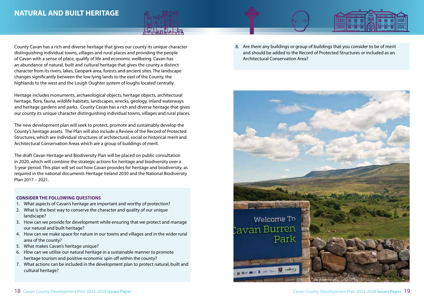### **NATURAL AND BUILT HERITAGE**



County Cavan has a rich and diverse heritage that gives our county its unique character distinguishing individual towns, villages and rural places and providing the people of Cavan with a sense of place, qualify of life and economic wellbeing. Cavan has an abundance of natural, built and cultural heritage that gives the county a distinct character from its rivers, lakes, Geopark area, forests and ancient sites. The landscape changes significantly between the low lying lands to the east of the County, the highlands to the west and the Lough Oughter system of loughs located centrally.

Heritage includes monuments, archaeological objects, heritage objects, architectural heritage, flora, fauna, wildlife habitats, landscapes, wrecks, geology, inland waterways and heritage gardens and parks. County Cavan has a rich and diverse heritage that gives our county its unique character distinguishing individual towns, villages and rural places.

The new development plan will seek to protect, promote and sustainably develop the County's heritage assets. The Plan will also include a Review of the Record of Protected Structures, which are individual structures of architectural, social or historical merit and Architectural Conservation Areas which are a group of buildings of merit.

The draft Cavan Heritage and Biodiversity Plan will be placed on public consultation in 2020, which will combine the strategic actions for heritage and biodiversity over a 5-year period. This plan will set out how Cavan provides for heritage and biodiversity, as required in the national documents Heritage Ireland 2030 and the National Biodiversity Plan 2017 – 2021.

#### **CONSIDER THE FOLLOWING QUESTIONS**

- 1. What aspects of Cavan's heritage are important and worthy of protection?
- 2. What is the best way to conserve the character and quality of our unique landscape?
- 3. How can we provide for development while ensuring that we protect and manage our natural and built heritage?
- 4. How can we make space for nature in our towns and villages and in the wider rural area of the county?
- 5. What makes Cavan's heritage unique?
- 6. How can we utilise our natural heritage in a sustainable manner to promote heritage tourism and positive economic spin off within the county?
- 7. What actions can be included in the development plan to protect natural, built and cultural heritage?

8. Are there any buildings or group of buildings that you consider to be of merit and should be added to the Record of Protected Structures or included as an Architectural Conservation Area?

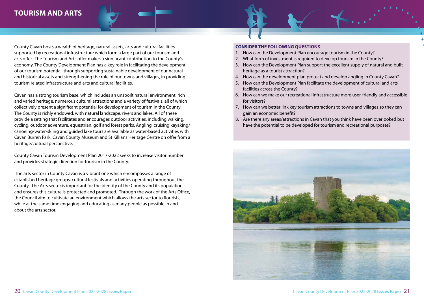### **TOURISM AND ARTS**

County Cavan hosts a wealth of heritage, natural assets, arts and cultural facilities supported by recreational infrastructure which form a large part of our tourism and arts offer. The Tourism and Arts offer makes a significant contribution to the County's economy. The County Development Plan has a key role in facilitating the development of our tourism potential, through supporting sustainable development of our natural and historical assets and strengthening the role of our towns and villages, in providing tourism related infrastructure and arts and cultural facilities.

Cavan has a strong tourism base, which includes an unspoilt natural environment, rich and varied heritage, numerous cultural attractions and a variety of festivals, all of which collectively present a significant potential for development of tourism in the County. The County is richly endowed, with natural landscape, rivers and lakes. All of these provide a setting that facilitates and encourages outdoor activities, including walking, cycling, outdoor adventure, equestrian, golf and forest parks. Angling, cruising kayaking/ canoeing/water-skiing and guided lake tours are available as water-based activities with Cavan Burren Park, Cavan County Museum and St Killians Heritage Centre on offer from a heritage/cultural perspective.

County Cavan Tourism Development Plan 2017-2022 seeks to increase visitor number and provides strategic direction for tourism in the County.

 The arts sector in County Cavan is a vibrant one which encompasses a range of established heritage groups, cultural festivals and activities operating throughout the County. The Arts sector is important for the identity of the County and its population and ensures this culture is protected and promoted. Through the work of the Arts Office, the Council aim to cultivate an environment which allows the arts sector to flourish, while at the same time engaging and educating as many people as possible in and about the arts sector.

- 1. How can the Development Plan encourage tourism in the County?
- 2. What form of investment is required to develop tourism in the County?
- 3. How can the Development Plan support the excellent supply of natural and built heritage as a tourist attraction?
- 4. How can the development plan protect and develop angling in County Cavan?
- 5. How can the Development Plan facilitate the development of cultural and arts facilities across the County?
- 6. How can we make our recreational infrastructure more user-friendly and accessible for visitors?
- 7. How can we better link key tourism attractions to towns and villages so they can gain an economic benefit?
- 8. Are there any areas/attractions in Cavan that you think have been overlooked but have the potential to be developed for tourism and recreational purposes?

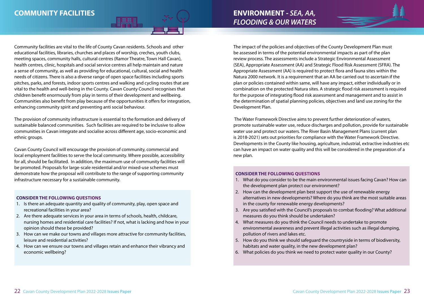Community facilities are vital to the life of County Cavan residents. Schools and other educational facilities, libraries, churches and places of worship, creches, youth clubs, meeting spaces, community halls, cultural centres (Ramor Theatre, Town Hall Cavan), health centres, clinic, hospitals and social service centres all help maintain and nature a sense of community, as well as providing for educational, cultural, social and health needs of citizens. There is also a diverse range of open space facilities including sports pitches, parks, and forests, indoor sports centres and walking and cycling routes that are vital to the health and well-being in the County. Cavan County Council recognises that children benefit enormously from play in terms of their development and wellbeing. Communities also benefit from play because of the opportunities it offers for integration, enhancing community spirit and preventing anti social behaviour.

The provision of community infrastructure is essential to the formation and delivery of sustainable balanced communities. Such facilities are required to be inclusive to allow communities in Cavan integrate and socialise across different age, socio-economic and ethnic groups.

Cavan County Council will encourage the provision of community, commercial and local employment facilities to serve the local community. Where possible, accessibility for all, should be facilitated. In addition, the maximum use of community facilities will be promoted. Proposals for large-scale residential and/or mixed-use schemes must demonstrate how the proposal will contribute to the range of supporting community infrastructure necessary for a sustainable community.

#### **CONSIDER THE FOLLOWING QUESTIONS**

- 1. Is there an adequate quantity and quality of community, play, open space and recreational facilities in your area?
- 2. Are there adequate services in your area in terms of schools, health, childcare, nursing homes and residential care facilities? If not, what is lacking and how in your opinion should these be provided?
- 3. How can we make our towns and villages more attractive for community facilities, leisure and residential activities?
- 4. How can we ensure our towns and villages retain and enhance their vibrancy and economic wellbeing?

The impact of the policies and objectives of the County Development Plan must be assessed in terms of the potential environmental impacts as part of the plan review process. The assessments include a Strategic Environmental Assessment (SEA), Appropriate Assessment (AA) and Strategic Flood Risk Assessment (SFRA). The Appropriate Assessment (AA) is required to protect flora and fauna sites within the Natura 2000 network. It is a requirement that an AA be carried out to ascertain if the plan or policies contained within same, will have any impact, either individually or in combination on the protected Natura sites. A strategic flood risk assessment is required for the purpose of integrating flood risk assessment and management and to assist in the determination of spatial planning policies, objectives and land use zoning for the Development Plan.

 The Water Framework Directive aims to prevent further deterioration of waters, promote sustainable water use, reduce discharges and pollution, provide for sustainable water use and protect our waters. The River Basin Management Plans (current plan is 2018-2021) sets out priorities for compliance with the Water Framework Directive. Developments in the County like housing, agriculture, industrial, extractive industries etc can have an impact on water quality and this will be considered in the preparation of a new plan.

- 1. What do you consider to be the main environmental issues facing Cavan? How can the development plan protect our environment?
- 2. How can the development plan best support the use of renewable energy alternatives in new developments? Where do you think are the most suitable areas in the county for renewable energy developments?
- 3. Are you satisfied with the Council's proposals to combat flooding? What additional measures do you think should be undertaken?
- 4. What measures do you think the Council needs to undertake to promote environmental awareness and prevent illegal activities such as illegal dumping, pollution of rivers and lakes etc.
- 5. How do you think we should safeguard the countryside in terms of biodiversity, habitats and water quality, in the new development plan?
- 6. What policies do you think we need to protect water quality in our County?